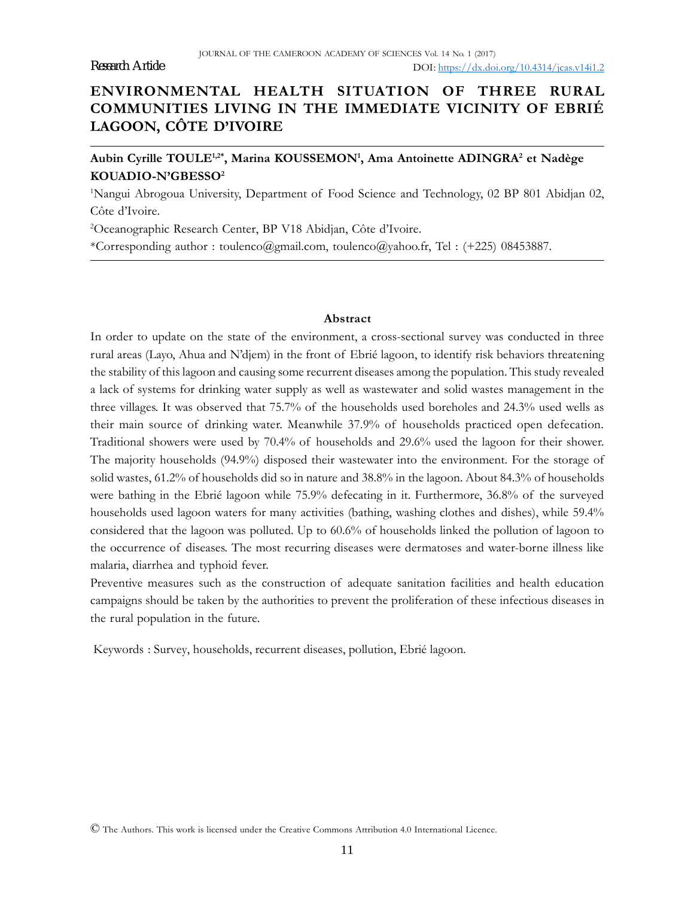# **ENVIRONMENTAL HEALTH SITUATION OF THREE RURAL COMMUNITIES LIVING IN THE IMMEDIATE VICINITY OF EBRIÉ LAGOON, CÔTE D'IVOIRE**

### **Aubin Cyrille TOULE1,2\*, Marina KOUSSEMON<sup>1</sup> , Ama Antoinette ADINGRA<sup>2</sup> et Nadège KOUADIO-N'GBESSO<sup>2</sup>**

<sup>1</sup>Nangui Abrogoua University, Department of Food Science and Technology, 02 BP 801 Abidjan 02, Côte d'Ivoire.

<sup>2</sup>Oceanographic Research Center, BP V18 Abidjan, Côte d'Ivoire.

\*Corresponding author : toulenco@gmail.com, [toulenco@yahoo.fr,](mailto:toulenco@yahoo.fr,) Tel : (+225) 08453887.

#### **Abstract**

In order to update on the state of the environment, a cross-sectional survey was conducted in three rural areas (Layo, Ahua and N'djem) in the front of Ebrié lagoon, to identify risk behaviors threatening the stability of this lagoon and causing some recurrent diseases among the population. This study revealed a lack of systems for drinking water supply as well as wastewater and solid wastes management in the three villages. It was observed that 75.7% of the households used boreholes and 24.3% used wells as their main source of drinking water. Meanwhile 37.9% of households practiced open defecation. Traditional showers were used by 70.4% of households and 29.6% used the lagoon for their shower. The majority households (94.9%) disposed their wastewater into the environment. For the storage of solid wastes, 61.2% of households did so in nature and 38.8% in the lagoon. About 84.3% of households were bathing in the Ebrié lagoon while 75.9% defecating in it. Furthermore, 36.8% of the surveyed households used lagoon waters for many activities (bathing, washing clothes and dishes), while 59.4% considered that the lagoon was polluted. Up to 60.6% of households linked the pollution of lagoon to the occurrence of diseases. The most recurring diseases were dermatoses and water-borne illness like malaria, diarrhea and typhoid fever.

Preventive measures such as the construction of adequate sanitation facilities and health education campaigns should be taken by the authorities to prevent the proliferation of these infectious diseases in the rural population in the future.

Keywords : Survey, households, recurrent diseases, pollution, Ebrié lagoon.

<sup>©</sup> The Authors. This work is licensed under the Creative Commons Attribution 4.0 International Licence.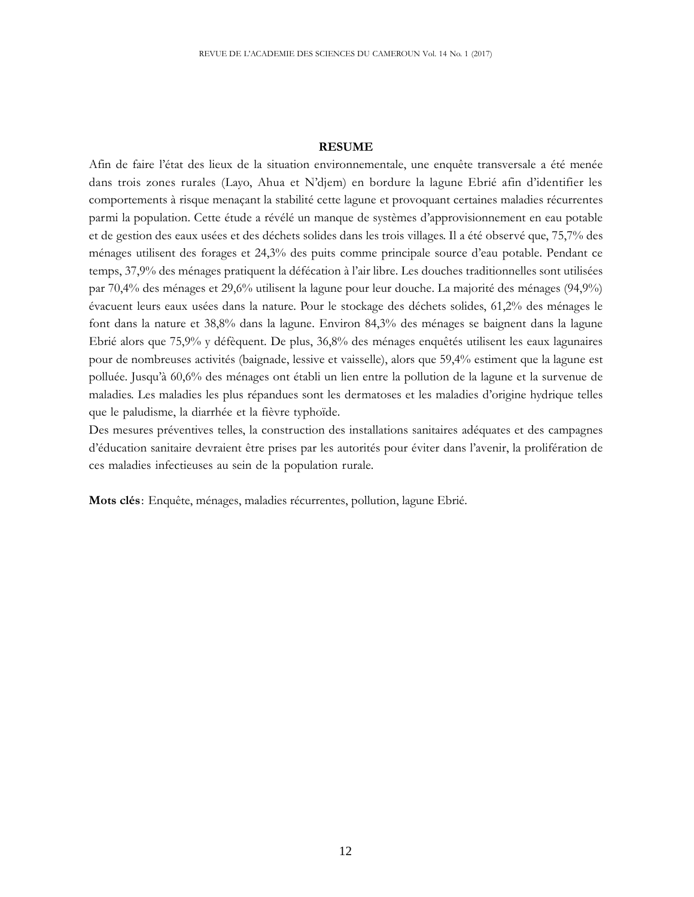#### **RESUME**

Afin de faire l'état des lieux de la situation environnementale, une enquête transversale a été menée dans trois zones rurales (Layo, Ahua et N'djem) en bordure la lagune Ebrié afin d'identifier les comportements à risque menaçant la stabilité cette lagune et provoquant certaines maladies récurrentes parmi la population. Cette étude a révélé un manque de systèmes d'approvisionnement en eau potable et de gestion des eaux usées et des déchets solides dans les trois villages. Il a été observé que, 75,7% des ménages utilisent des forages et 24,3% des puits comme principale source d'eau potable. Pendant ce temps, 37,9% des ménages pratiquent la défécation à l'air libre. Les douches traditionnelles sont utilisées par 70,4% des ménages et 29,6% utilisent la lagune pour leur douche. La majorité des ménages (94,9%) évacuent leurs eaux usées dans la nature. Pour le stockage des déchets solides, 61,2% des ménages le font dans la nature et 38,8% dans la lagune. Environ 84,3% des ménages se baignent dans la lagune Ebrié alors que 75,9% y défèquent. De plus, 36,8% des ménages enquêtés utilisent les eaux lagunaires pour de nombreuses activités (baignade, lessive et vaisselle), alors que 59,4% estiment que la lagune est polluée. Jusqu'à 60,6% des ménages ont établi un lien entre la pollution de la lagune et la survenue de maladies. Les maladies les plus répandues sont les dermatoses et les maladies d'origine hydrique telles que le paludisme, la diarrhée et la fièvre typhoïde.

Des mesures préventives telles, la construction des installations sanitaires adéquates et des campagnes d'éducation sanitaire devraient être prises par les autorités pour éviter dans l'avenir, la prolifération de ces maladies infectieuses au sein de la population rurale.

**Mots clés**: Enquête, ménages, maladies récurrentes, pollution, lagune Ebrié.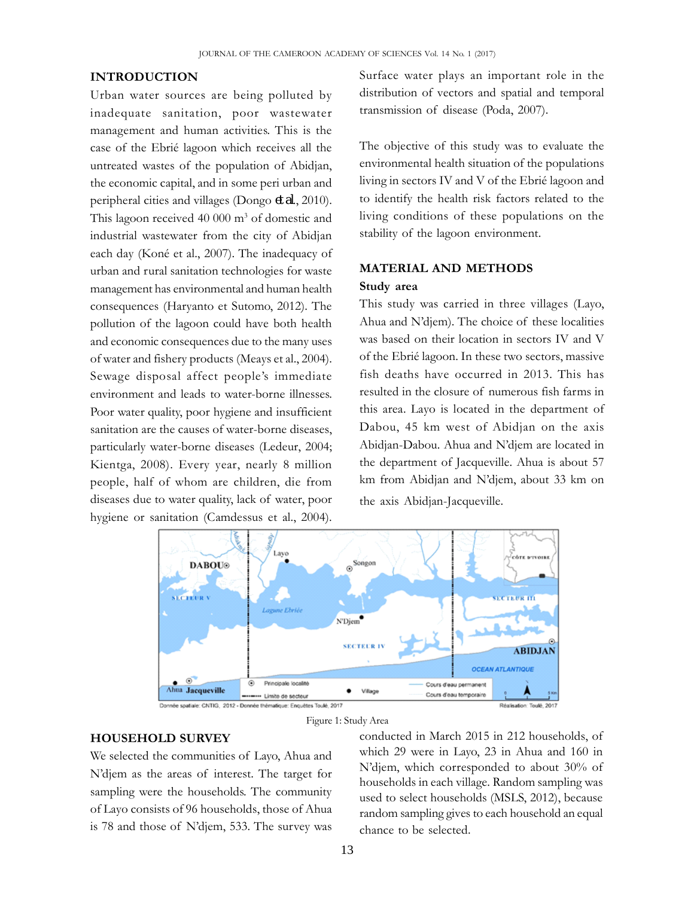#### **INTRODUCTION**

Urban water sources are being polluted by inadequate sanitation, poor wastewater management and human activities. This is the case of the Ebrié lagoon which receives all the untreated wastes of the population of Abidjan, the economic capital, and in some peri urban and peripheral cities and villages (Dongo *et al*., 2010). This lagoon received 40 000 m<sup>3</sup> of domestic and industrial wastewater from the city of Abidjan each day (Koné et al., 2007). The inadequacy of urban and rural sanitation technologies for waste management has environmental and human health consequences (Haryanto et Sutomo, 2012). The pollution of the lagoon could have both health and economic consequences due to the many uses of water and fishery products (Meays et al., 2004). Sewage disposal affect people's immediate environment and leads to water-borne illnesses. Poor water quality, poor hygiene and insufficient sanitation are the causes of water-borne diseases, particularly water-borne diseases (Ledeur, 2004; Kientga, 2008). Every year, nearly 8 million people, half of whom are children, die from diseases due to water quality, lack of water, poor hygiene or sanitation (Camdessus et al., 2004). Surface water plays an important role in the distribution of vectors and spatial and temporal transmission of disease (Poda, 2007).

The objective of this study was to evaluate the environmental health situation of the populations living in sectors IV and V of the Ebrié lagoon and to identify the health risk factors related to the living conditions of these populations on the stability of the lagoon environment.

## **MATERIAL AND METHODS Study area**

This study was carried in three villages (Layo, Ahua and N'djem). The choice of these localities was based on their location in sectors IV and V of the Ebrié lagoon. In these two sectors, massive fish deaths have occurred in 2013. This has resulted in the closure of numerous fish farms in this area. Layo is located in the department of Dabou, 45 km west of Abidjan on the axis Abidjan-Dabou. Ahua and N'djem are located in the department of Jacqueville. Ahua is about 57 km from Abidjan and N'djem, about 33 km on the axis Abidjan-Jacqueville.



#### Figure 1: Study Area

### **HOUSEHOLD SURVEY**

We selected the communities of Layo, Ahua and N'djem as the areas of interest. The target for sampling were the households. The community of Layo consists of 96 households, those of Ahua is 78 and those of N'djem, 533. The survey was conducted in March 2015 in 212 households, of which 29 were in Layo, 23 in Ahua and 160 in N'djem, which corresponded to about 30% of households in each village. Random sampling was used to select households (MSLS, 2012), because random sampling gives to each household an equal chance to be selected.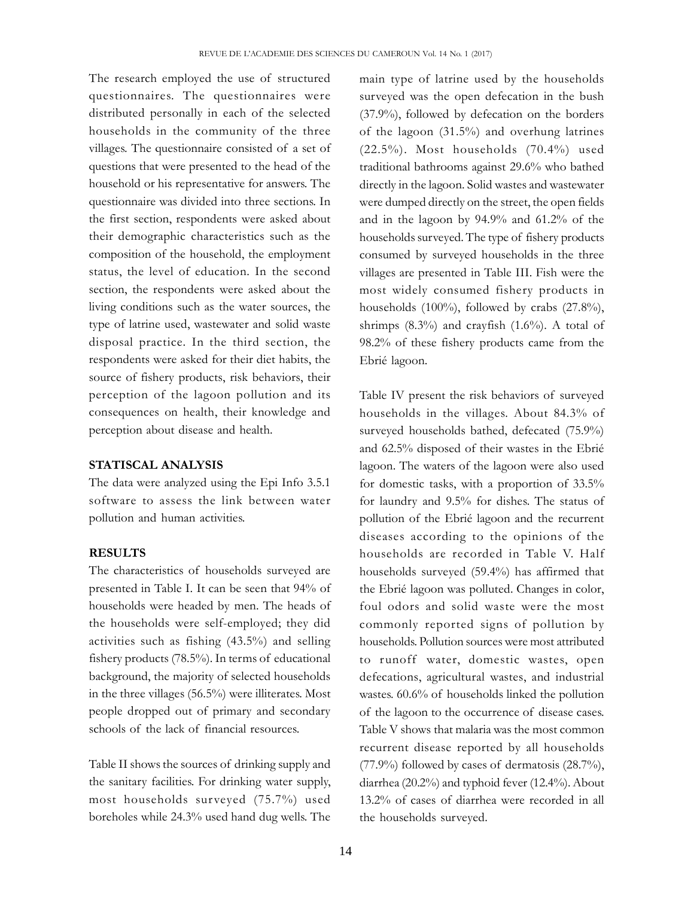The research employed the use of structured questionnaires. The questionnaires were distributed personally in each of the selected households in the community of the three villages. The questionnaire consisted of a set of questions that were presented to the head of the household or his representative for answers. The questionnaire was divided into three sections. In the first section, respondents were asked about their demographic characteristics such as the composition of the household, the employment status, the level of education. In the second section, the respondents were asked about the living conditions such as the water sources, the type of latrine used, wastewater and solid waste disposal practice. In the third section, the respondents were asked for their diet habits, the source of fishery products, risk behaviors, their perception of the lagoon pollution and its consequences on health, their knowledge and perception about disease and health.

#### **STATISCAL ANALYSIS**

The data were analyzed using the Epi Info 3.5.1 software to assess the link between water pollution and human activities.

#### **RESULTS**

The characteristics of households surveyed are presented in Table I. It can be seen that 94% of households were headed by men. The heads of the households were self-employed; they did activities such as fishing (43.5%) and selling fishery products (78.5%). In terms of educational background, the majority of selected households in the three villages (56.5%) were illiterates. Most people dropped out of primary and secondary schools of the lack of financial resources.

Table II shows the sources of drinking supply and the sanitary facilities. For drinking water supply, most households surveyed (75.7%) used boreholes while 24.3% used hand dug wells. The

main type of latrine used by the households surveyed was the open defecation in the bush (37.9%), followed by defecation on the borders of the lagoon (31.5%) and overhung latrines (22.5%). Most households (70.4%) used traditional bathrooms against 29.6% who bathed directly in the lagoon. Solid wastes and wastewater were dumped directly on the street, the open fields and in the lagoon by 94.9% and 61.2% of the households surveyed. The type of fishery products consumed by surveyed households in the three villages are presented in Table III. Fish were the most widely consumed fishery products in households (100%), followed by crabs (27.8%), shrimps  $(8.3\%)$  and crayfish  $(1.6\%)$ . A total of 98.2% of these fishery products came from the Ebrié lagoon.

Table IV present the risk behaviors of surveyed households in the villages. About 84.3% of surveyed households bathed, defecated (75.9%) and 62.5% disposed of their wastes in the Ebrié lagoon. The waters of the lagoon were also used for domestic tasks, with a proportion of 33.5% for laundry and 9.5% for dishes. The status of pollution of the Ebrié lagoon and the recurrent diseases according to the opinions of the households are recorded in Table V. Half households surveyed (59.4%) has affirmed that the Ebrié lagoon was polluted. Changes in color, foul odors and solid waste were the most commonly reported signs of pollution by households. Pollution sources were most attributed to runoff water, domestic wastes, open defecations, agricultural wastes, and industrial wastes. 60.6% of households linked the pollution of the lagoon to the occurrence of disease cases. Table V shows that malaria was the most common recurrent disease reported by all households (77.9%) followed by cases of dermatosis (28.7%), diarrhea (20.2%) and typhoid fever (12.4%). About 13.2% of cases of diarrhea were recorded in all the households surveyed.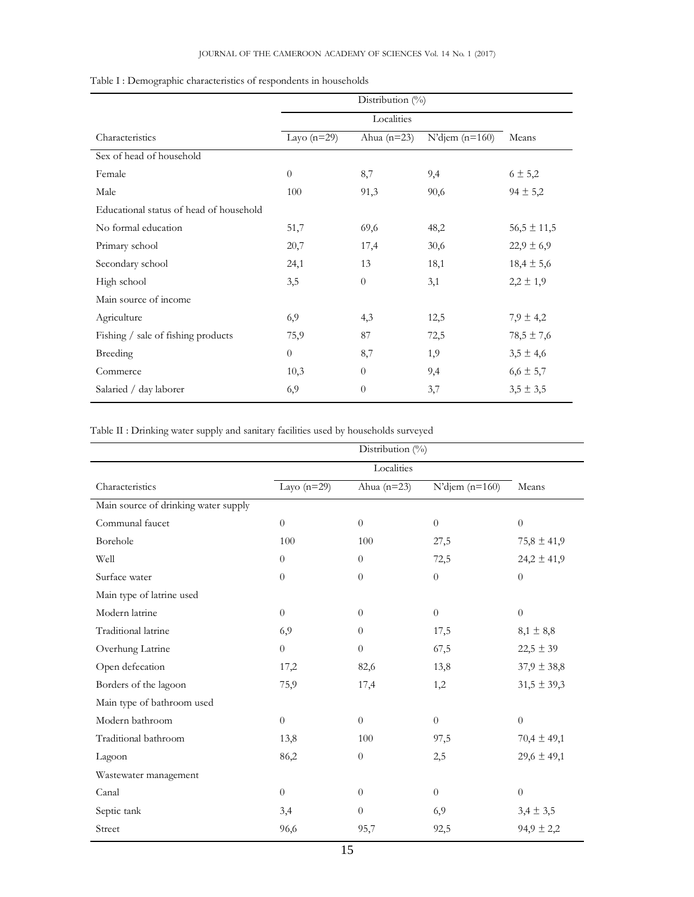|                                         | Distribution $(\%)$ |               |                  |                 |  |  |
|-----------------------------------------|---------------------|---------------|------------------|-----------------|--|--|
|                                         |                     |               |                  |                 |  |  |
| Characteristics                         | Layo $(n=29)$       | Ahua $(n=23)$ | N'djem $(n=160)$ | Means           |  |  |
| Sex of head of household                |                     |               |                  |                 |  |  |
| Female                                  | $\theta$            | 8,7           | 9,4              | $6 \pm 5,2$     |  |  |
| Male                                    | 100                 | 91,3          | 90,6             | $94 \pm 5,2$    |  |  |
| Educational status of head of household |                     |               |                  |                 |  |  |
| No formal education                     | 51,7                | 69,6          | 48,2             | $56,5 \pm 11,5$ |  |  |
| Primary school                          | 20,7                | 17,4          | 30,6             | $22,9 \pm 6,9$  |  |  |
| Secondary school                        | 24,1                | 13            | 18,1             | $18,4 \pm 5,6$  |  |  |
| High school                             | 3,5                 | $\theta$      | 3,1              | $2,2 \pm 1,9$   |  |  |
| Main source of income                   |                     |               |                  |                 |  |  |
| Agriculture                             | 6,9                 | 4,3           | 12,5             | $7,9 \pm 4,2$   |  |  |
| Fishing / sale of fishing products      | 75,9                | 87            | 72,5             | $78,5 \pm 7,6$  |  |  |
| Breeding                                | $\theta$            | 8,7           | 1,9              | $3,5 \pm 4,6$   |  |  |
| Commerce                                | 10,3                | $\theta$      | 9,4              | $6,6 \pm 5,7$   |  |  |
| Salaried / day laborer                  | 6,9                 | $\theta$      | 3,7              | $3,5 \pm 3,5$   |  |  |

| Table I : Demographic characteristics of respondents in households |  |  |
|--------------------------------------------------------------------|--|--|
|                                                                    |  |  |

Table II : Drinking water supply and sanitary facilities used by households surveyed

|                                      | Distribution (%) |               |                  |                 |  |  |
|--------------------------------------|------------------|---------------|------------------|-----------------|--|--|
|                                      |                  |               |                  |                 |  |  |
| Characteristics                      | Layo $(n=29)$    | Ahua $(n=23)$ | $N'djem (n=160)$ | Means           |  |  |
| Main source of drinking water supply |                  |               |                  |                 |  |  |
| Communal faucet                      | $\theta$         | $\theta$      | $\theta$         | $\theta$        |  |  |
| Borehole                             | 100              | 100           | 27,5             | $75,8 \pm 41,9$ |  |  |
| Well                                 | $\theta$         | $\theta$      | 72,5             | $24,2 \pm 41,9$ |  |  |
| Surface water                        | $\theta$         | $\theta$      | $\boldsymbol{0}$ | $\theta$        |  |  |
| Main type of latrine used            |                  |               |                  |                 |  |  |
| Modern latrine                       | $\theta$         | $\theta$      | $\theta$         | $\theta$        |  |  |
| Traditional latrine                  | 6,9              | $\theta$      | 17,5             | $8,1 \pm 8,8$   |  |  |
| Overhung Latrine                     | $\theta$         | $\theta$      | 67,5             | $22,5 \pm 39$   |  |  |
| Open defecation                      | 17,2             | 82,6          | 13,8             | $37,9 \pm 38,8$ |  |  |
| Borders of the lagoon                | 75,9             | 17,4          | 1,2              | $31,5 \pm 39,3$ |  |  |
| Main type of bathroom used           |                  |               |                  |                 |  |  |
| Modern bathroom                      | $\theta$         | $\theta$      | $\theta$         | $\theta$        |  |  |
| Traditional bathroom                 | 13,8             | 100           | 97,5             | $70,4 \pm 49,1$ |  |  |
| Lagoon                               | 86,2             | $\theta$      | 2,5              | $29,6 \pm 49,1$ |  |  |
| Wastewater management                |                  |               |                  |                 |  |  |
| Canal                                | $\theta$         | $\theta$      | $\boldsymbol{0}$ | $\overline{0}$  |  |  |
| Septic tank                          | 3,4              | $\theta$      | 6,9              | $3,4 \pm 3,5$   |  |  |
| Street                               | 96,6             | 95,7          | 92,5             | $94,9 \pm 2,2$  |  |  |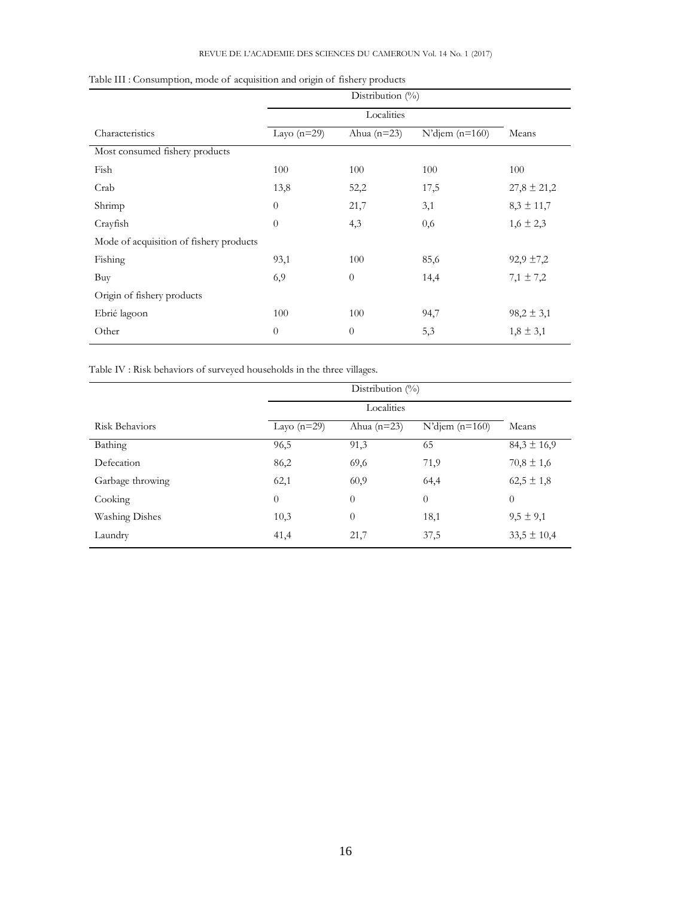|                                         | Distribution $(\%)$ |               |                   |                 |  |  |  |
|-----------------------------------------|---------------------|---------------|-------------------|-----------------|--|--|--|
|                                         |                     |               |                   |                 |  |  |  |
| Characteristics                         | Layo $(n=29)$       | Ahua $(n=23)$ | $N'$ djem (n=160) | Means           |  |  |  |
| Most consumed fishery products          |                     |               |                   |                 |  |  |  |
| Fish                                    | 100                 | 100           | 100               | 100             |  |  |  |
| Crab                                    | 13,8                | 52,2          | 17,5              | $27,8 \pm 21,2$ |  |  |  |
| Shrimp                                  | $\theta$            | 21,7          | 3,1               | $8,3 \pm 11,7$  |  |  |  |
| Crayfish                                | $\theta$            | 4,3           | 0,6               | $1,6 \pm 2,3$   |  |  |  |
| Mode of acquisition of fishery products |                     |               |                   |                 |  |  |  |
| Fishing                                 | 93,1                | 100           | 85,6              | $92,9 \pm 7,2$  |  |  |  |
| Buy                                     | 6,9                 | $\theta$      | 14,4              | $7,1 \pm 7,2$   |  |  |  |
| Origin of fishery products              |                     |               |                   |                 |  |  |  |
| Ebrié lagoon                            | 100                 | 100           | 94,7              | $98,2 \pm 3,1$  |  |  |  |
| Other                                   | $\theta$            | $\theta$      | 5,3               | $1,8 \pm 3,1$   |  |  |  |

Table III : Consumption, mode of acquisition and origin of fishery products

Table IV : Risk behaviors of surveyed households in the three villages.

|                       | Distribution $(\%)$<br>Localities |               |                  |                 |  |  |  |
|-----------------------|-----------------------------------|---------------|------------------|-----------------|--|--|--|
|                       |                                   |               |                  |                 |  |  |  |
| Risk Behaviors        | Layo $(n=29)$                     | Ahua $(n=23)$ | N'djem $(n=160)$ | Means           |  |  |  |
| Bathing               | 96,5                              | 91,3          | 65               | $84,3 \pm 16,9$ |  |  |  |
| Defecation            | 86,2                              | 69,6          | 71,9             | $70,8 \pm 1,6$  |  |  |  |
| Garbage throwing      | 62,1                              | 60,9          | 64,4             | $62,5 \pm 1,8$  |  |  |  |
| Cooking               | $\theta$                          | $\theta$      | $\theta$         | $\theta$        |  |  |  |
| <b>Washing Dishes</b> | 10,3                              | $\theta$      | 18,1             | $9,5 \pm 9,1$   |  |  |  |
| Laundry               | 41,4                              | 21,7          | 37,5             | $33,5 \pm 10,4$ |  |  |  |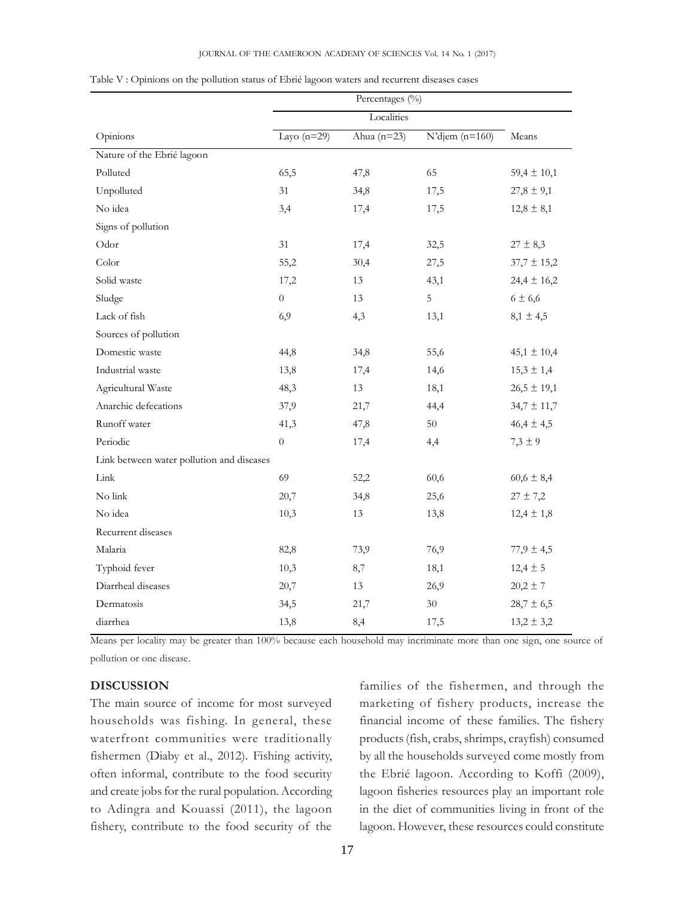| Opinions                                  | Layo $(n=29)$    | Ahua $(n=23)$ | N'djem $(n=160)$ | Means           |  |
|-------------------------------------------|------------------|---------------|------------------|-----------------|--|
| Nature of the Ebrié lagoon                |                  |               |                  |                 |  |
| Polluted                                  | 65,5             | 47,8          | 65               | $59,4 \pm 10,1$ |  |
| Unpolluted                                | 31               | 34,8          | 17,5             | $27,8 \pm 9,1$  |  |
| No idea                                   | 3,4              | 17,4          | 17,5             | $12,8 \pm 8,1$  |  |
| Signs of pollution                        |                  |               |                  |                 |  |
| Odor                                      | 31               | 17,4          | 32,5             | $27 \pm 8,3$    |  |
| Color                                     | 55,2             | 30,4          | 27,5             | $37,7 \pm 15,2$ |  |
| Solid waste                               | 17,2             | 13            | 43,1             | $24,4 \pm 16,2$ |  |
| Sludge                                    | $\boldsymbol{0}$ | 13            | $\mathbf 5$      | $6 \pm 6,6$     |  |
| Lack of fish                              | 6,9              | 4,3           | 13,1             | $8,1 \pm 4,5$   |  |
| Sources of pollution                      |                  |               |                  |                 |  |
| Domestic waste                            | 44,8             | 34,8          | 55,6             | $45,1 \pm 10,4$ |  |
| Industrial waste                          | 13,8             | 17,4          | 14,6             | $15,3 \pm 1,4$  |  |
| Agricultural Waste                        | 48,3             | 13            | 18,1             | $26,5 \pm 19,1$ |  |
| Anarchic defecations                      | 37,9             | 21,7          | 44,4             | $34,7 \pm 11,7$ |  |
| Runoff water                              | 41,3             | 47,8          | $50\,$           | $46,4 \pm 4,5$  |  |
| Periodic                                  | $\overline{0}$   | 17,4          | 4,4              | $7,3 \pm 9$     |  |
| Link between water pollution and diseases |                  |               |                  |                 |  |
| Link                                      | 69               | 52,2          | 60,6             | $60,6 \pm 8,4$  |  |
| No link                                   | 20,7             | 34,8          | 25,6             | $27 \pm 7,2$    |  |
| No idea                                   | 10,3             | 13            | 13,8             | $12,4 \pm 1,8$  |  |
| Recurrent diseases                        |                  |               |                  |                 |  |
| Malaria                                   | 82,8             | 73,9          | 76,9             | $77,9 \pm 4,5$  |  |
| Typhoid fever                             | 10,3             | 8,7           | 18,1             | $12,4 \pm 5$    |  |
| Diarrheal diseases                        | 20,7             | 13            | 26,9             | $20,2 \pm 7$    |  |
| Dermatosis                                | 34,5             | 21,7          | $30\,$           | $28,7 \pm 6,5$  |  |
| diarrhea                                  | 13,8             | 8,4           | 17,5             | $13,2 \pm 3,2$  |  |

|  |  |  |  |  | Table V: Opinions on the pollution status of Ebrié lagoon waters and recurrent diseases cases |  |
|--|--|--|--|--|-----------------------------------------------------------------------------------------------|--|
|  |  |  |  |  |                                                                                               |  |

Means per locality may be greater than 100% because each household may incriminate more than one sign, one source of pollution or one disease.

### **DISCUSSION**

The main source of income for most surveyed households was fishing. In general, these waterfront communities were traditionally fishermen (Diaby et al., 2012). Fishing activity, often informal, contribute to the food security and create jobs for the rural population. According to Adingra and Kouassi (2011), the lagoon fishery, contribute to the food security of the

families of the fishermen, and through the marketing of fishery products, increase the financial income of these families. The fishery products (fish, crabs, shrimps, crayfish) consumed by all the households surveyed come mostly from the Ebrié lagoon. According to Koffi (2009), lagoon fisheries resources play an important role in the diet of communities living in front of the lagoon. However, these resources could constitute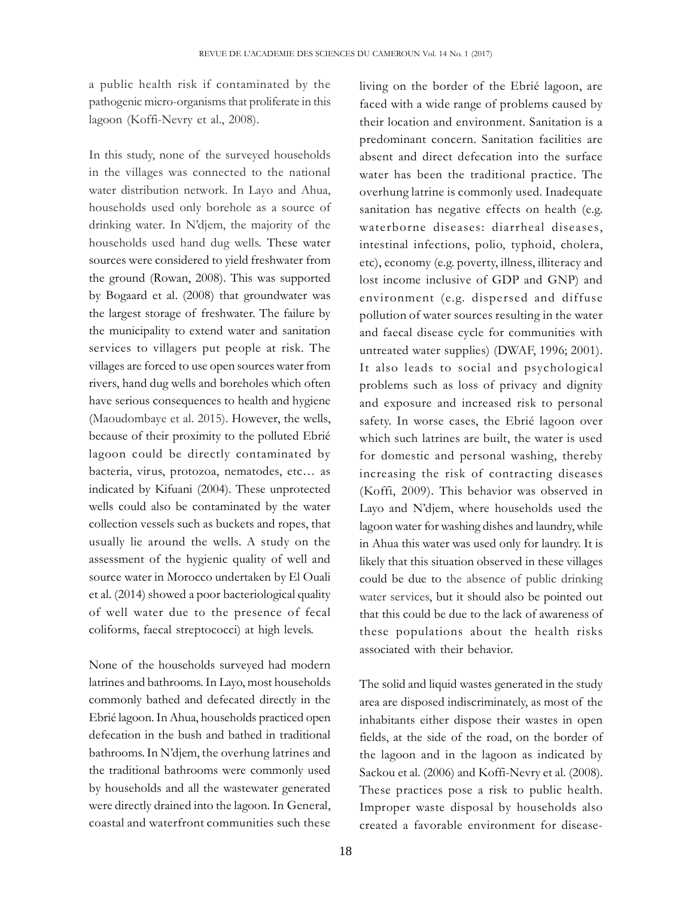a public health risk if contaminated by the pathogenic micro-organisms that proliferate in this lagoon (Koffi-Nevry et al., 2008).

In this study, none of the surveyed households in the villages was connected to the national water distribution network. In Layo and Ahua, households used only borehole as a source of drinking water. In N'djem, the majority of the households used hand dug wells. These water sources were considered to yield freshwater from the ground (Rowan, 2008). This was supported by Bogaard et al. (2008) that groundwater was the largest storage of freshwater. The failure by the municipality to extend water and sanitation services to villagers put people at risk. The villages are forced to use open sources water from rivers, hand dug wells and boreholes which often have serious consequences to health and hygiene (Maoudombaye et al. 2015). However, the wells, because of their proximity to the polluted Ebrié lagoon could be directly contaminated by bacteria, virus, protozoa, nematodes, etc… as indicated by Kifuani (2004). These unprotected wells could also be contaminated by the water collection vessels such as buckets and ropes, that usually lie around the wells. A study on the assessment of the hygienic quality of well and source water in Morocco undertaken by El Ouali et al. (2014) showed a poor bacteriological quality of well water due to the presence of fecal coliforms, faecal streptococci) at high levels.

None of the households surveyed had modern latrines and bathrooms. In Layo, most households commonly bathed and defecated directly in the Ebrié lagoon. In Ahua, households practiced open defecation in the bush and bathed in traditional bathrooms. In N'djem, the overhung latrines and the traditional bathrooms were commonly used by households and all the wastewater generated were directly drained into the lagoon. In General, coastal and waterfront communities such these

living on the border of the Ebrié lagoon, are faced with a wide range of problems caused by their location and environment. Sanitation is a predominant concern. Sanitation facilities are absent and direct defecation into the surface water has been the traditional practice. The overhung latrine is commonly used. Inadequate sanitation has negative effects on health (e.g. waterborne diseases: diarrheal diseases, intestinal infections, polio, typhoid, cholera, etc), economy (e.g. poverty, illness, illiteracy and lost income inclusive of GDP and GNP) and environment (e.g. dispersed and diffuse pollution of water sources resulting in the water and faecal disease cycle for communities with untreated water supplies) (DWAF, 1996; 2001). It also leads to social and psychological problems such as loss of privacy and dignity and exposure and increased risk to personal safety. In worse cases, the Ebrié lagoon over which such latrines are built, the water is used for domestic and personal washing, thereby increasing the risk of contracting diseases (Koffi, 2009). This behavior was observed in Layo and N'djem, where households used the lagoon water for washing dishes and laundry, while in Ahua this water was used only for laundry. It is likely that this situation observed in these villages could be due to the absence of public drinking water services, but it should also be pointed out that this could be due to the lack of awareness of these populations about the health risks associated with their behavior.

The solid and liquid wastes generated in the study area are disposed indiscriminately, as most of the inhabitants either dispose their wastes in open fields, at the side of the road, on the border of the lagoon and in the lagoon as indicated by Sackou et al. (2006) and Koffi-Nevry et al. (2008). These practices pose a risk to public health. Improper waste disposal by households also created a favorable environment for disease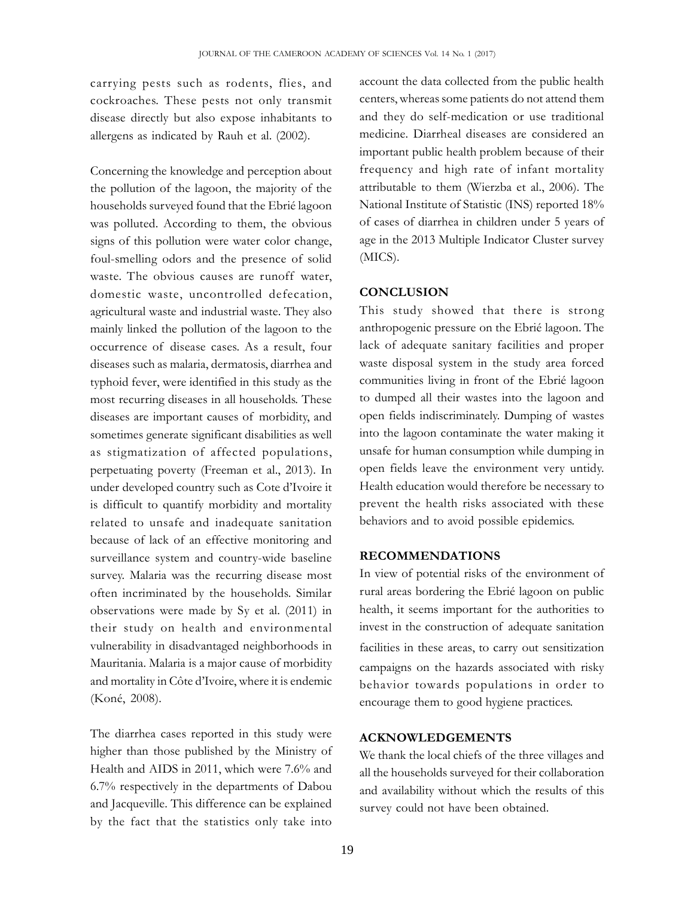carrying pests such as rodents, flies, and cockroaches. These pests not only transmit disease directly but also expose inhabitants to allergens as indicated by Rauh et al. (2002).

Concerning the knowledge and perception about the pollution of the lagoon, the majority of the households surveyed found that the Ebrié lagoon was polluted. According to them, the obvious signs of this pollution were water color change, foul-smelling odors and the presence of solid waste. The obvious causes are runoff water, domestic waste, uncontrolled defecation, agricultural waste and industrial waste. They also mainly linked the pollution of the lagoon to the occurrence of disease cases. As a result, four diseases such as malaria, dermatosis, diarrhea and typhoid fever, were identified in this study as the most recurring diseases in all households. These diseases are important causes of morbidity, and sometimes generate significant disabilities as well as stigmatization of affected populations, perpetuating poverty (Freeman et al., 2013). In under developed country such as Cote d'Ivoire it is difficult to quantify morbidity and mortality related to unsafe and inadequate sanitation because of lack of an effective monitoring and surveillance system and country-wide baseline survey. Malaria was the recurring disease most often incriminated by the households. Similar observations were made by Sy et al. (2011) in their study on health and environmental vulnerability in disadvantaged neighborhoods in Mauritania. Malaria is a major cause of morbidity and mortality in Côte d'Ivoire, where it is endemic (Koné, 2008).

The diarrhea cases reported in this study were higher than those published by the Ministry of Health and AIDS in 2011, which were 7.6% and 6.7% respectively in the departments of Dabou and Jacqueville. This difference can be explained by the fact that the statistics only take into

account the data collected from the public health centers, whereas some patients do not attend them and they do self-medication or use traditional medicine. Diarrheal diseases are considered an important public health problem because of their frequency and high rate of infant mortality attributable to them (Wierzba et al., 2006). The National Institute of Statistic (INS) reported 18% of cases of diarrhea in children under 5 years of age in the 2013 Multiple Indicator Cluster survey (MICS).

#### **CONCLUSION**

This study showed that there is strong anthropogenic pressure on the Ebrié lagoon. The lack of adequate sanitary facilities and proper waste disposal system in the study area forced communities living in front of the Ebrié lagoon to dumped all their wastes into the lagoon and open fields indiscriminately. Dumping of wastes into the lagoon contaminate the water making it unsafe for human consumption while dumping in open fields leave the environment very untidy. Health education would therefore be necessary to prevent the health risks associated with these behaviors and to avoid possible epidemics.

#### **RECOMMENDATIONS**

In view of potential risks of the environment of rural areas bordering the Ebrié lagoon on public health, it seems important for the authorities to invest in the construction of adequate sanitation facilities in these areas, to carry out sensitization campaigns on the hazards associated with risky behavior towards populations in order to encourage them to good hygiene practices.

#### **ACKNOWLEDGEMENTS**

We thank the local chiefs of the three villages and all the households surveyed for their collaboration and availability without which the results of this survey could not have been obtained.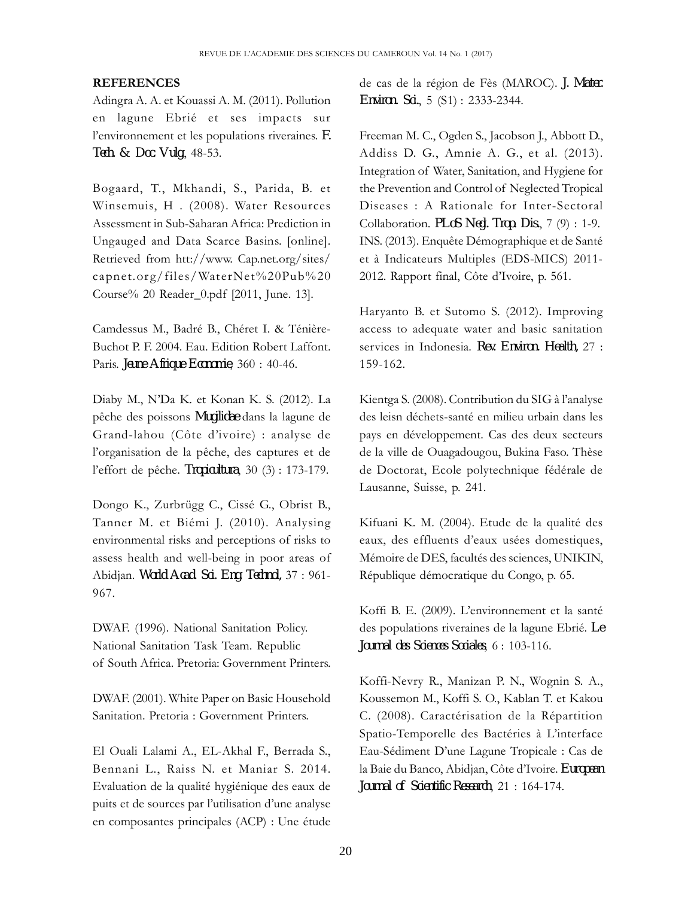#### **REFERENCES**

Adingra A. A. et Kouassi A. M. (2011). Pollution en lagune Ebrié et ses impacts sur l'environnement et les populations riveraines. *F. Tech. & Doc. Vulg*., 48-53.

Bogaard, T., Mkhandi, S., Parida, B. et Winsemuis, H . (2008). Water Resources Assessment in Sub-Saharan Africa: Prediction in Ungauged and Data Scarce Basins. [online]. Retrieved from htt://www. Cap.net.org/sites/ capnet.org/files/WaterNet%20Pub%20 Course% 20 Reader\_0.pdf [2011, June. 13].

Camdessus M., Badré B., Chéret I. & Ténière-Buchot P. F. 2004. Eau. Edition Robert Laffont. Paris. *Jeune Afrique Economie*, 360 : 40-46.

Diaby M., N'Da K. et Konan K. S. (2012). La pêche des poissons *Mugilidae* dans la lagune de Grand-lahou (Côte d'ivoire) : analyse de l'organisation de la pêche, des captures et de l'effort de pêche. *Tropicultura*, 30 (3) : 173-179.

Dongo K., Zurbrügg C., Cissé G., Obrist B., Tanner M. et Biémi J. (2010). Analysing environmental risks and perceptions of risks to assess health and well-being in poor areas of Abidjan. *World Acad. Sci. Eng. Technol,* 37 : 961- 967.

DWAF. (1996). National Sanitation Policy. National Sanitation Task Team. Republic of South Africa. Pretoria: Government Printers.

DWAF. (2001). White Paper on Basic Household Sanitation. Pretoria : Government Printers.

El Ouali Lalami A., EL-Akhal F., Berrada S., Bennani L., Raiss N. et Maniar S. 2014. Evaluation de la qualité hygiénique des eaux de puits et de sources par l'utilisation d'une analyse en composantes principales (ACP) : Une étude

de cas de la région de Fès (MAROC). *J. Mater. Environ. Sci.*, 5 (S1) : 2333-2344.

Freeman M. C., Ogden S., Jacobson J., Abbott D., Addiss D. G., Amnie A. G., et al. (2013). Integration of Water, Sanitation, and Hygiene for the Prevention and Control of Neglected Tropical Diseases : A Rationale for Inter-Sectoral Collaboration. *PLoS Negl. Trop. Dis.*, 7 (9) : 1-9. INS. (2013). Enquête Démographique et de Santé et à Indicateurs Multiples (EDS-MICS) 2011- 2012. Rapport final, Côte d'Ivoire, p. 561.

Haryanto B. et Sutomo S. (2012). Improving access to adequate water and basic sanitation services in Indonesia. *Rev. Environ. Health,* 27 : 159-162.

Kientga S. (2008). Contribution du SIG à l'analyse des leisn déchets-santé en milieu urbain dans les pays en développement. Cas des deux secteurs de la ville de Ouagadougou, Bukina Faso. Thèse de Doctorat, Ecole polytechnique fédérale de Lausanne, Suisse, p. 241.

Kifuani K. M. (2004). Etude de la qualité des eaux, des effluents d'eaux usées domestiques, Mémoire de DES, facultés des sciences, UNIKIN, République démocratique du Congo, p. 65.

Koffi B. E. (2009). L'environnement et la santé des populations riveraines de la lagune Ebrié. *Le Journal des Sciences Sociales*, 6 : 103-116.

Koffi-Nevry R., Manizan P. N., Wognin S. A., Koussemon M., Koffi S. O., Kablan T. et Kakou C. (2008). Caractérisation de la Répartition Spatio-Temporelle des Bactéries à L'interface Eau-Sédiment D'une Lagune Tropicale : Cas de la Baie du Banco, Abidjan, Côte d'Ivoire. *European Journal of Scientific Research*, 21 : 164-174.